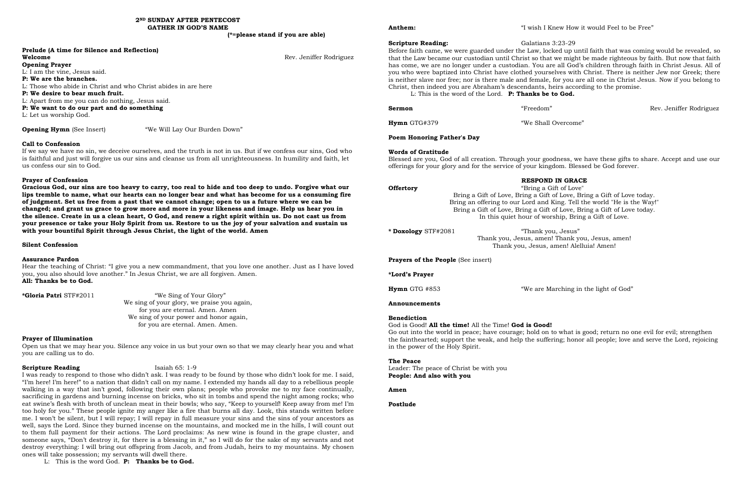**2ND SUNDAY AFTER PENTECOST GATHER IN GOD'S NAME**

**(\*=please stand if you are able)**

## **Prelude (A time for Silence and Reflection)**

**Opening Prayer**

L: I am the vine, Jesus said.

**P: We are the branches.**

L: Those who abide in Christ and who Christ abides in are here

**P: We desire to bear much fruit.** 

L: Apart from me you can do nothing, Jesus said.

**P: We want to do our part and do something** 

L: Let us worship God.

**Opening Hymn** (See Insert) "We Will Lay Our Burden Down"

### **Call to Confession**

If we say we have no sin, we deceive ourselves, and the truth is not in us. But if we confess our sins, God who is faithful and just will forgive us our sins and cleanse us from all unrighteousness. In humility and faith, let us confess our sin to God.

### **Prayer of Confession**

**Gracious God, our sins are too heavy to carry, too real to hide and too deep to undo. Forgive what our lips tremble to name, what our hearts can no longer bear and what has become for us a consuming fire of judgment. Set us free from a past that we cannot change; open to us a future where we can be changed; and grant us grace to grow more and more in your likeness and image. Help us hear you in the silence. Create in us a clean heart, O God, and renew a right spirit within us. Do not cast us from your presence or take your Holy Spirit from us. Restore to us the joy of your salvation and sustain us with your bountiful Spirit through Jesus Christ, the light of the world. Amen**

#### **Silent Confession**

### **Assurance Pardon**

Hear the teaching of Christ: "I give you a new commandment, that you love one another. Just as I have loved you, you also should love another." In Jesus Christ, we are all forgiven. Amen. **All: Thanks be to God.**

**\*Gloria Patri** STF#2011 "We Sing of Your Glory"

We sing of your glory, we praise you again, for you are eternal. Amen. Amen We sing of your power and honor again, for you are eternal. Amen. Amen.

### **Prayer of Illumination**

Open us that we may hear you. Silence any voice in us but your own so that we may clearly hear you and what you are calling us to do.

### **Scripture Reading** Isaiah 65: 1-9

I was ready to respond to those who didn't ask. I was ready to be found by those who didn't look for me. I said, "I'm here! I'm here!" to a nation that didn't call on my name. I extended my hands all day to a rebellious people walking in a way that isn't good, following their own plans; people who provoke me to my face continually, sacrificing in gardens and burning incense on bricks, who sit in tombs and spend the night among rocks; who eat swine's flesh with broth of unclean meat in their bowls; who say, "Keep to yourself! Keep away from me! I'm too holy for you." These people ignite my anger like a fire that burns all day. Look, this stands written before me. I won't be silent, but I will repay; I will repay in full measure your sins and the sins of your ancestors as well, says the Lord. Since they burned incense on the mountains, and mocked me in the hills, I will count out to them full payment for their actions. The Lord proclaims: As new wine is found in the grape cluster, and someone says, "Don't destroy it, for there is a blessing in it," so I will do for the sake of my servants and not destroy everything: I will bring out offspring from Jacob, and from Judah, heirs to my mountains. My chosen ones will take possession; my servants will dwell there.

L: This is the word God. **P: Thanks be to God.**

**Anthem:** "I wish I Knew How it would Feel to be Free"

#### **Scripture Reading:** Galatians 3:23-29

Before faith came, we were guarded under the Law, locked up until faith that was coming would be revealed, so that the Law became our custodian until Christ so that we might be made righteous by faith. But now that faith has come, we are no longer under a custodian. You are all God's children through faith in Christ Jesus. All of you who were baptized into Christ have clothed yourselves with Christ. There is neither Jew nor Greek; there is neither slave nor free; nor is there male and female, for you are all one in Christ Jesus. Now if you belong to Christ, then indeed you are Abraham's descendants, heirs according to the promise. L: This is the word of the Lord. **P: Thanks be to God.**

|  | Sermon                                                                                                                                                                          |                                     | "Freedom"                 |
|--|---------------------------------------------------------------------------------------------------------------------------------------------------------------------------------|-------------------------------------|---------------------------|
|  | $Hymn$ GTG#379                                                                                                                                                                  |                                     | "We Shall (               |
|  | <b>Poem Honoring Father's Day</b><br>Words of Gratitude<br>Blessed are you, God of all creation. Through your good<br>offerings for your glory and for the service of your king |                                     |                           |
|  |                                                                                                                                                                                 |                                     |                           |
|  |                                                                                                                                                                                 |                                     | <b>RESPOND</b>            |
|  | <b>Offertory</b>                                                                                                                                                                | Bring a Gift of Love, Bring a Gift  | "Bring a Gi               |
|  |                                                                                                                                                                                 | Bring an offering to our Lord and P |                           |
|  |                                                                                                                                                                                 | Bring a Gift of Love, Bring a Gift  |                           |
|  |                                                                                                                                                                                 |                                     | In this quiet hour of wor |
|  |                                                                                                                                                                                 |                                     |                           |

**\* Doxology** STF#2081"Thank you, Jesus"

Thank you, Jesus, amen! Thank you, Jesus, amen! Thank you, Jesus, amen! Alelluia! Amen!

**Hymn** GTG #853 "We are Marching in the light of God"

**Prayers of the People** (See insert)

**\*Lord's Prayer** 

#### **Announcements**

#### **Benediction**

God is Good! **All the time!** All the Time! **God is Good!** Go out into the world in peace; have courage; hold on to what is good; return no one evil for evil; strengthen the fainthearted; support the weak, and help the suffering; honor all people; love and serve the Lord, rejoicing in the power of the Holy Spirit.

#### **The Peace**

Leader: The peace of Christ be with you **People: And also with you**

**Amen**

#### **Postlude**

**Welcome Rev.** Jeniffer Rodriguez

Rev. Jeniffer Rodriguez

 $\rm Overcome"$ 

dness, we have these gifts to share. Accept and use our dom. Blessed be God forever.

#### IN GRACE

**ift of Love"** of Love, Bring a Gift of Love today. King. Tell the world "He is the Way!" of Love, Bring a Gift of Love today. ship, Bring a Gift of Love.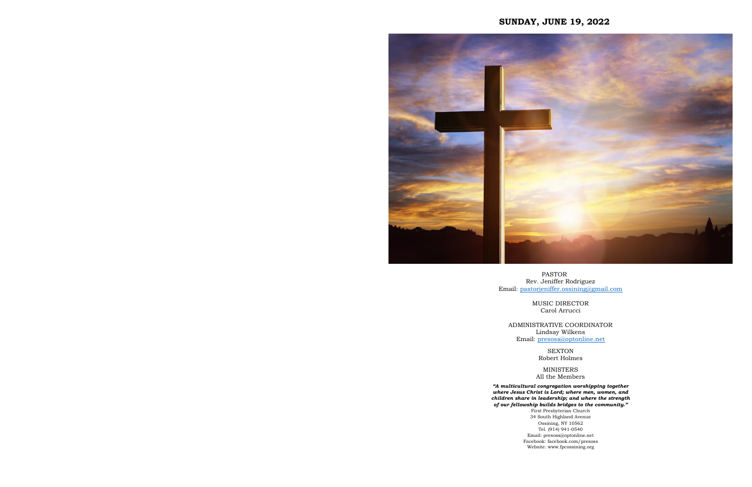# **SUNDAY, JUNE 19, 2022**



PASTOR Rev. Jeniffer Rodriguez Email: [pastorjeniffer.ossining@gmail.com](mailto:pastorjeniffer.ossining@gmail.com)

MUSIC DIRECTOR Carol Arrucci

ADMINISTRATIVE COORDINATOR Lindsay Wilkens Email: [presoss@optonline.net](mailto:presoss@optonline.net)

> SEXTON Robert Holmes

MINISTERS All the Members

*"A multicultural congregation worshipping together where Jesus Christ is Lord; where men, women, and children share in leadership; and where the strength of our fellowship builds bridges to the community."* First Presbyterian Church 34 South Highland Avenue Ossining, NY 10562 Tel. (914) 941-0540 Email[: presoss@optonline.net](mailto:presoss@optonline.net) Facebook: facebook.com/presoss Website: www.fpcossining.org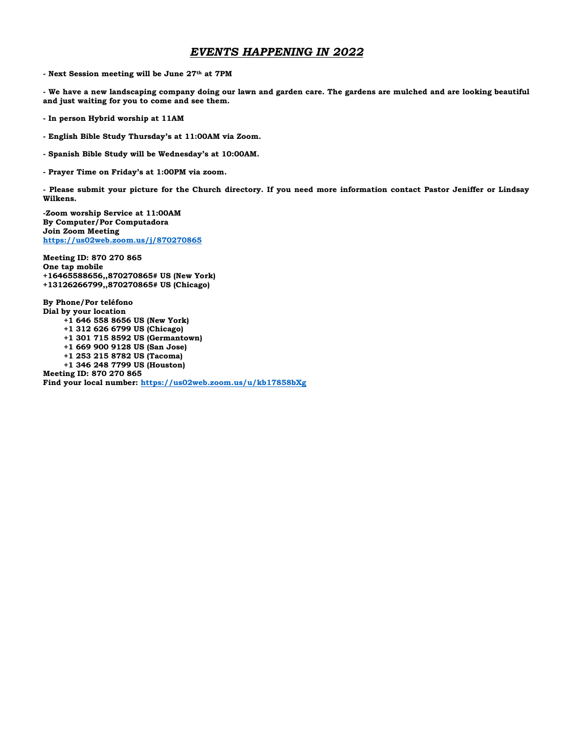### *EVENTS HAPPENING IN 2022*

**- Next Session meeting will be June 27th at 7PM** 

**- We have a new landscaping company doing our lawn and garden care. The gardens are mulched and are looking beautiful and just waiting for you to come and see them.**

**- In person Hybrid worship at 11AM**

**- English Bible Study Thursday's at 11:00AM via Zoom.** 

**- Spanish Bible Study will be Wednesday's at 10:00AM.** 

**- Prayer Time on Friday's at 1:00PM via zoom.** 

**- Please submit your picture for the Church directory. If you need more information contact Pastor Jeniffer or Lindsay Wilkens.**

**-Zoom worship Service at 11:00AM By Computer/Por Computadora Join Zoom Meeting <https://us02web.zoom.us/j/870270865>**

**Meeting ID: 870 270 865 One tap mobile +16465588656,,870270865# US (New York) +13126266799,,870270865# US (Chicago)**

**By Phone/Por teléfono Dial by your location +1 646 558 8656 US (New York) +1 312 626 6799 US (Chicago) +1 301 715 8592 US (Germantown) +1 669 900 9128 US (San Jose) +1 253 215 8782 US (Tacoma) +1 346 248 7799 US (Houston) Meeting ID: 870 270 865 Find your local number: <https://us02web.zoom.us/u/kb17858bXg>**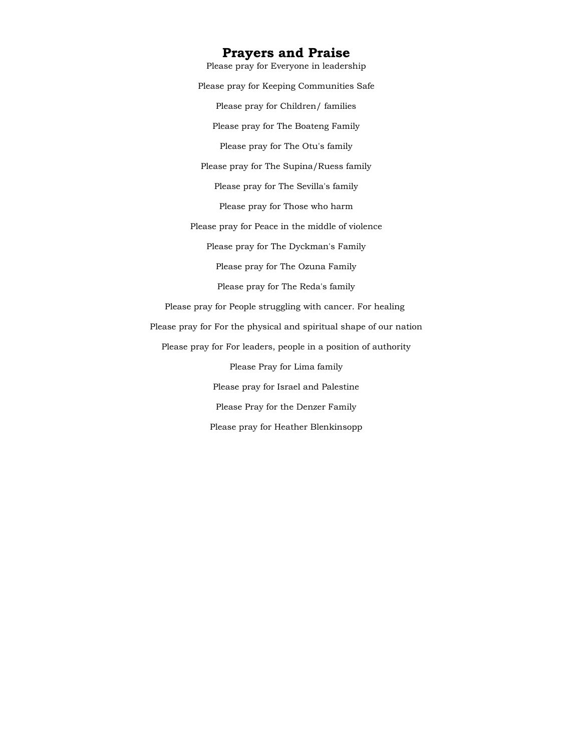**Prayers and Praise** Please pray for Everyone in leadership Please pray for Keeping Communities Safe Please pray for Children/ families Please pray for The Boateng Family Please pray for The Otu's family Please pray for The Supina/Ruess family Please pray for The Sevilla's family Please pray for Those who harm Please pray for Peace in the middle of violence Please pray for The Dyckman's Family Please pray for The Ozuna Family Please pray for The Reda's family Please pray for People struggling with cancer. For healing Please pray for For the physical and spiritual shape of our nation Please pray for For leaders, people in a position of authority Please Pray for Lima family Please pray for Israel and Palestine Please Pray for the Denzer Family Please pray for Heather Blenkinsopp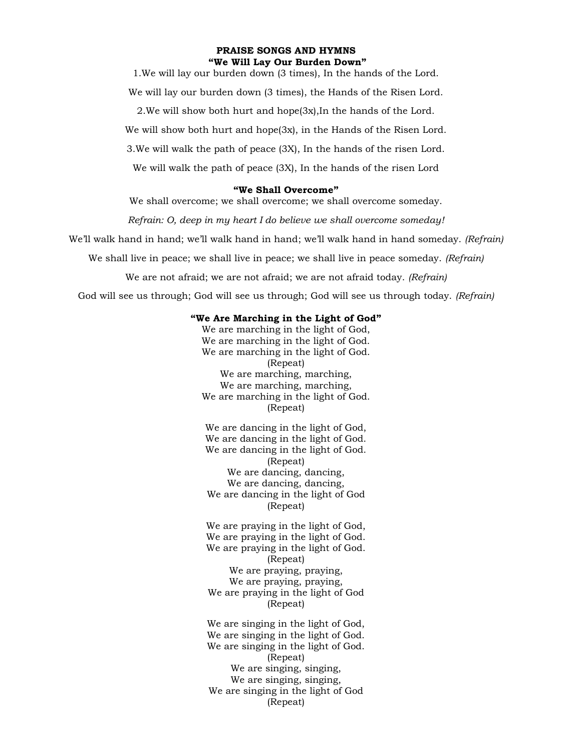#### **PRAISE SONGS AND HYMNS "We Will Lay Our Burden Down"**

1.We will lay our burden down (3 times), In the hands of the Lord.

We will lay our burden down (3 times), the Hands of the Risen Lord.

2.We will show both hurt and hope(3x),In the hands of the Lord.

We will show both hurt and hope(3x), in the Hands of the Risen Lord.

3.We will walk the path of peace (3X), In the hands of the risen Lord.

We will walk the path of peace (3X), In the hands of the risen Lord

#### **"We Shall Overcome"**

We shall overcome; we shall overcome; we shall overcome someday.

*Refrain: O, deep in my heart I do believe we shall overcome someday!*

We'll walk hand in hand; we'll walk hand in hand; we'll walk hand in hand someday. *(Refrain)*

We shall live in peace; we shall live in peace; we shall live in peace someday. *(Refrain)*

We are not afraid; we are not afraid; we are not afraid today. *(Refrain)*

God will see us through; God will see us through; God will see us through today. *(Refrain)*

#### **"We Are Marching in the Light of God"**

We are marching in the light of God, We are marching in the light of God. We are marching in the light of God. (Repeat) We are marching, marching, We are marching, marching, We are marching in the light of God. (Repeat)

We are dancing in the light of God, We are dancing in the light of God. We are dancing in the light of God. (Repeat) We are dancing, dancing, We are dancing, dancing, We are dancing in the light of God (Repeat)

We are praying in the light of God, We are praying in the light of God. We are praying in the light of God. (Repeat) We are praying, praying, We are praying, praying, We are praying in the light of God (Repeat)

We are singing in the light of God, We are singing in the light of God. We are singing in the light of God. (Repeat) We are singing, singing, We are singing, singing, We are singing in the light of God (Repeat)